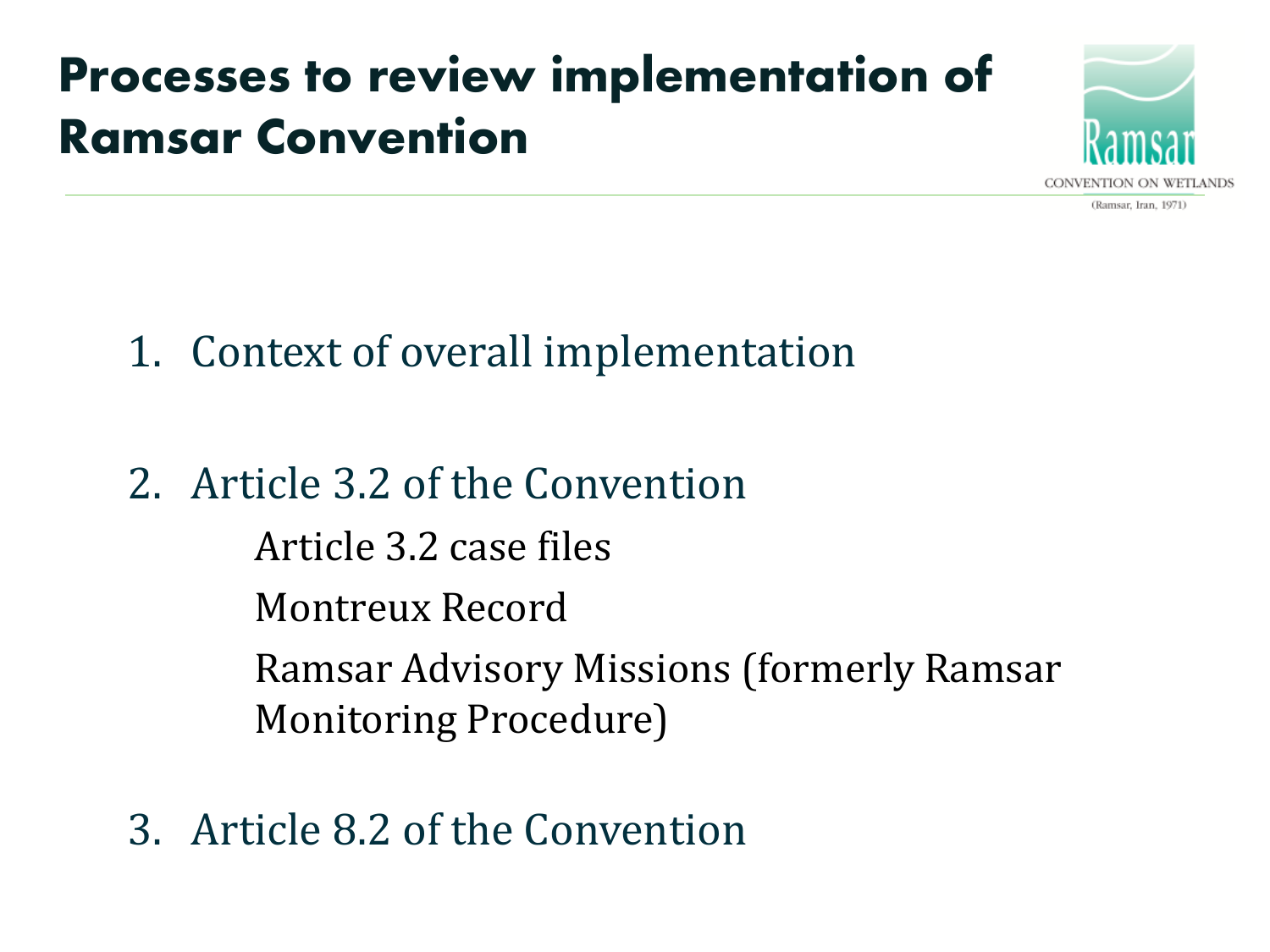### **Processes to review implementation of Ramsar Convention**



- 1. Context of overall implementation
- 2. Article 3.2 of the Convention Article 3.2 case files Montreux Record Ramsar Advisory Missions (formerly Ramsar Monitoring Procedure)
- 3. Article 8.2 of the Convention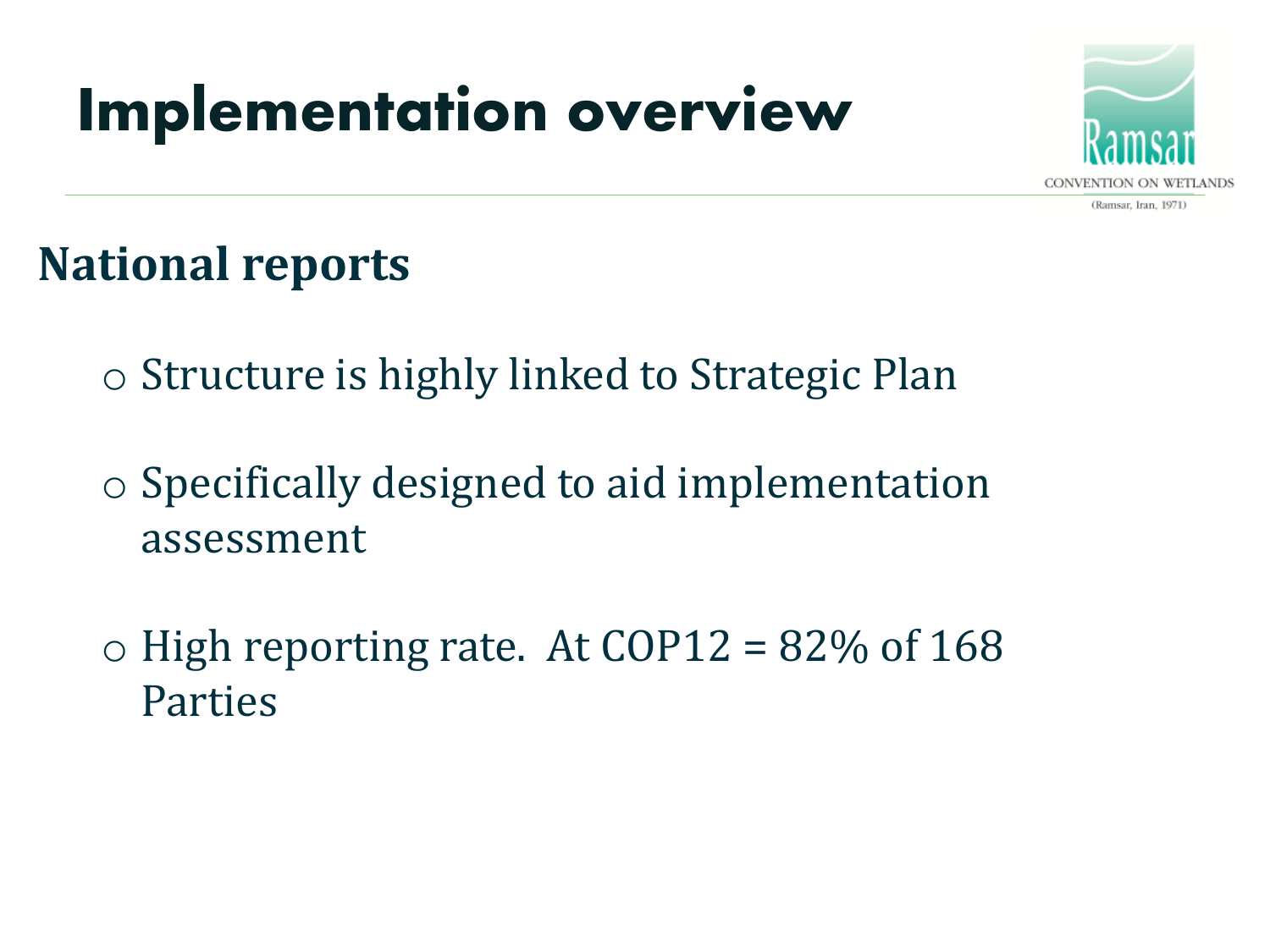## **Implementation overview**



#### **National reports**

o Structure is highly linked to Strategic Plan

o Specifically designed to aid implementation assessment

 $\circ$  High reporting rate. At COP12 = 82\% of 168 Parties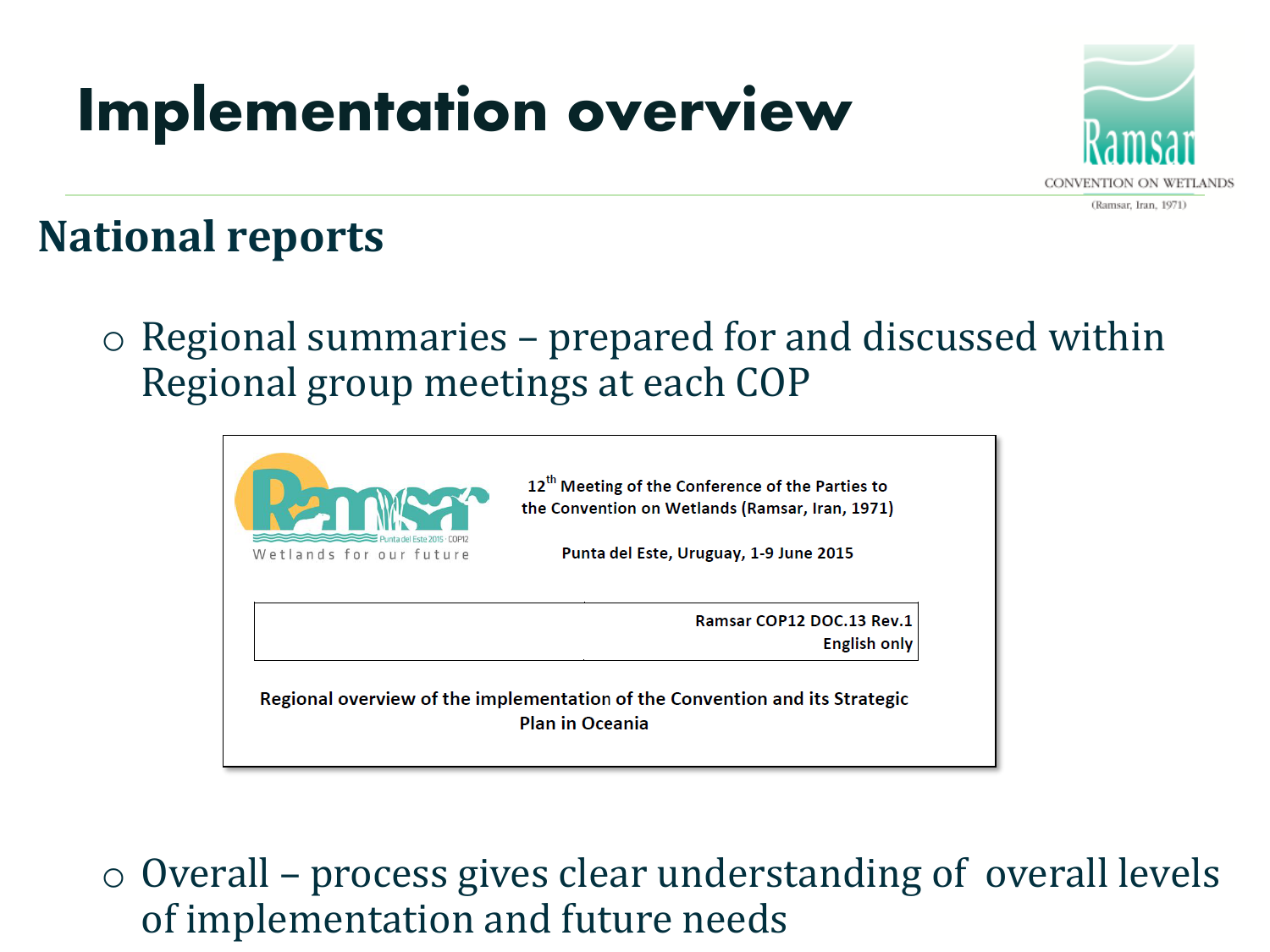## **Implementation overview**



#### **National reports**

 $\circ$  Regional summaries – prepared for and discussed within Regional group meetings at each COP



o Overall – process gives clear understanding of overall levels of implementation and future needs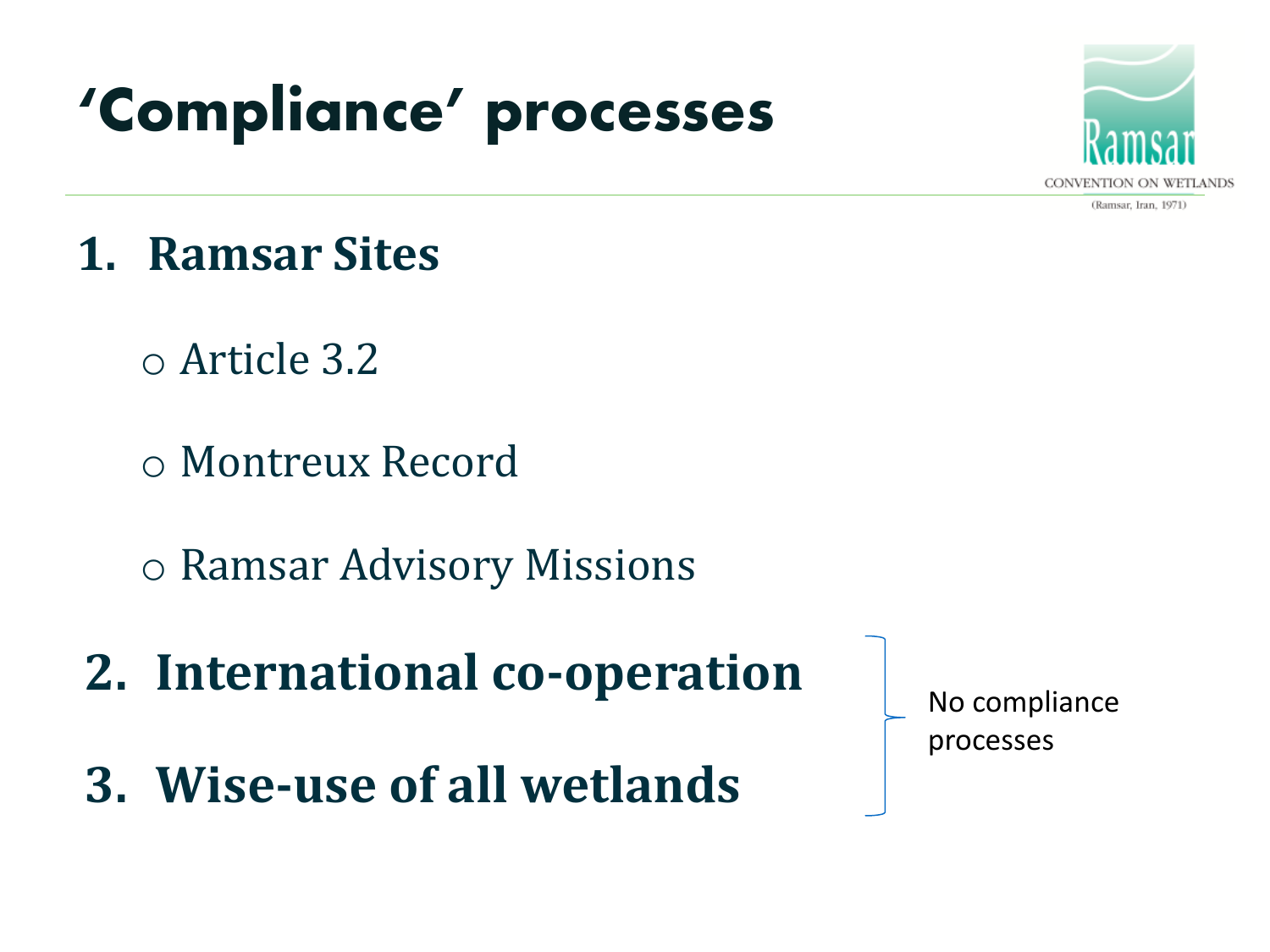## **'Compliance' processes**



(Ramsar, Iran, 1971)

- **1. Ramsar Sites**
	- o Article 3.2
	- o Montreux Record
	- o Ramsar Advisory Missions
- **2. International co-operation**
- **3. Wise-use of all wetlands**

No compliance processes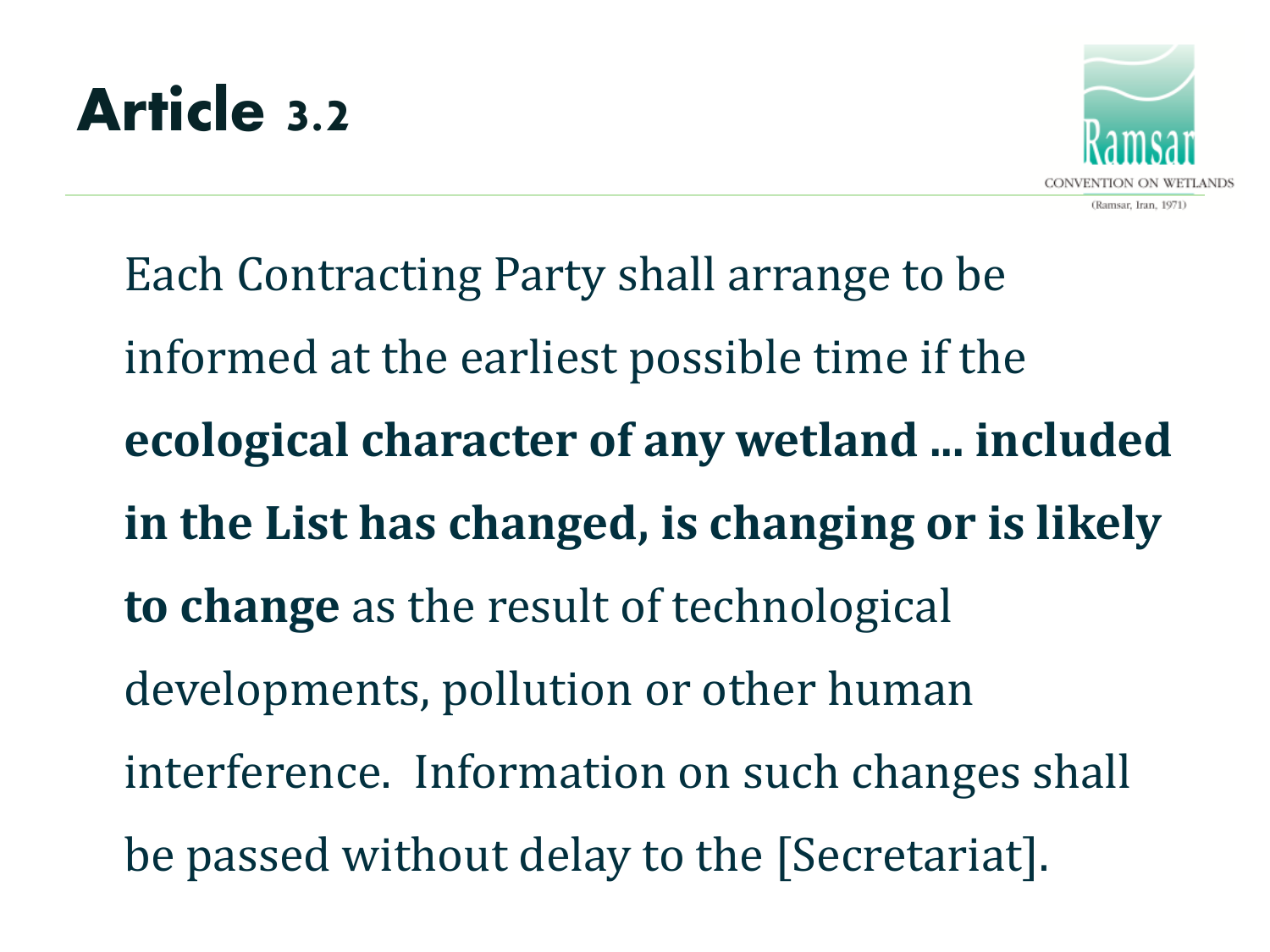



Each Contracting Party shall arrange to be informed at the earliest possible time if the **ecological character of any wetland ... included in the List has changed, is changing or is likely to change** as the result of technological developments, pollution or other human interference. Information on such changes shall be passed without delay to the [Secretariat].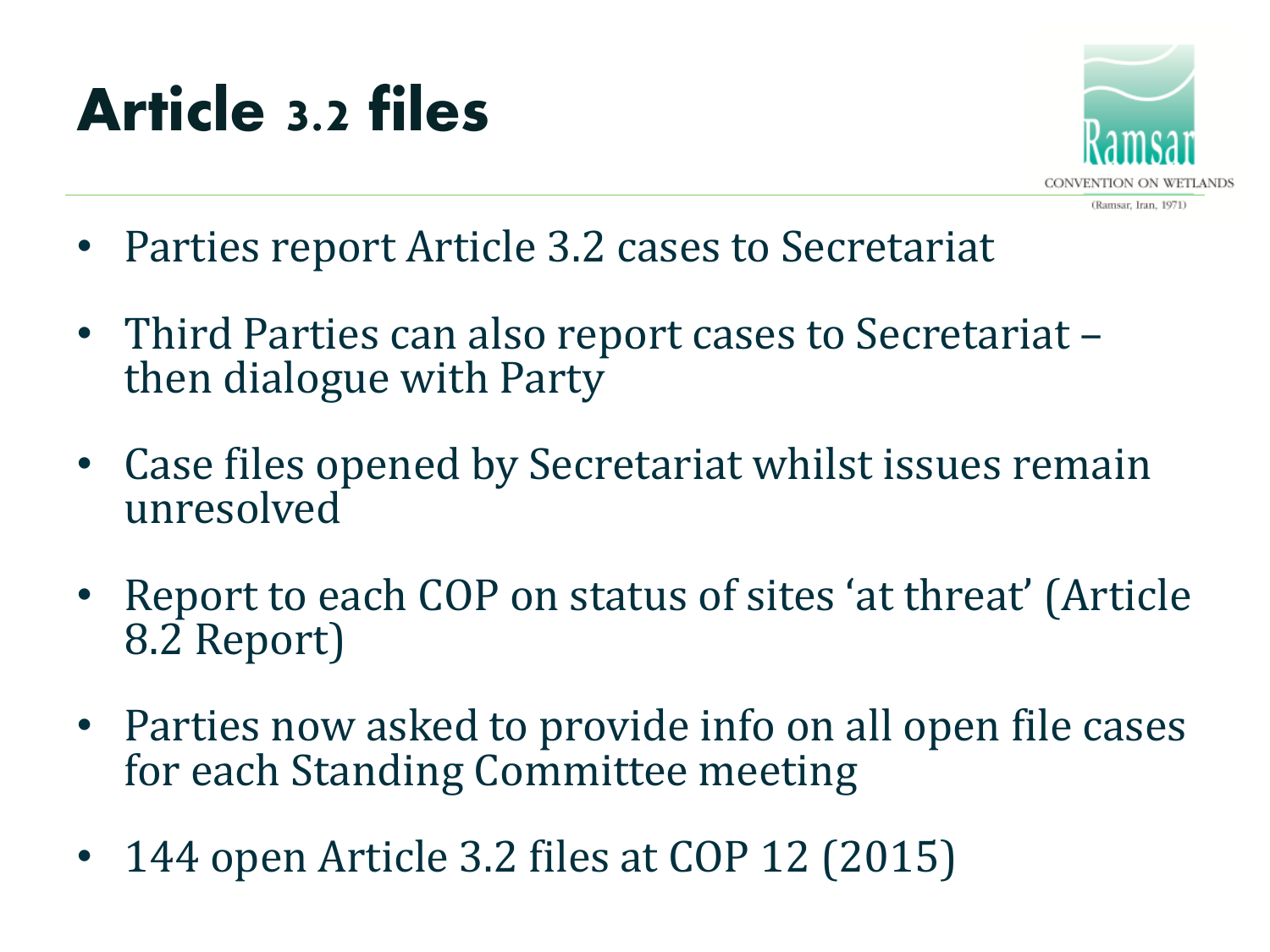## **Article 3.2 files**



- Parties report Article 3.2 cases to Secretariat
- Third Parties can also report cases to Secretariat then dialogue with Party
- Case files opened by Secretariat whilst issues remain unresolved
- Report to each COP on status of sites 'at threat' (Article 8.2 Report)
- Parties now asked to provide info on all open file cases for each Standing Committee meeting
- 144 open Article 3.2 files at COP 12 (2015)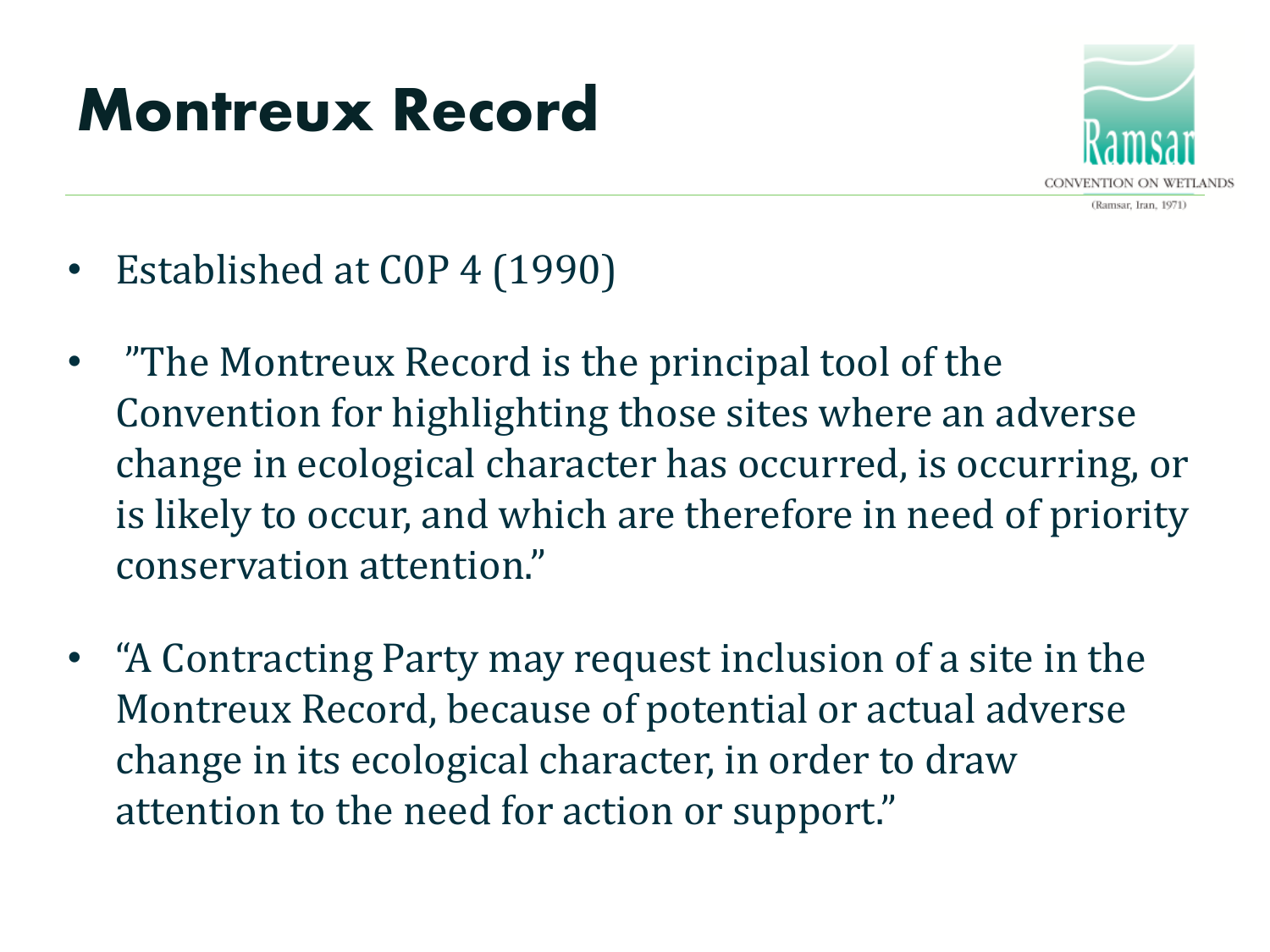## **Montreux Record**



- Established at C0P 4 (1990)
- "The Montreux Record is the principal tool of the Convention for highlighting those sites where an adverse change in ecological character has occurred, is occurring, or is likely to occur, and which are therefore in need of priority conservation attention."
- "A Contracting Party may request inclusion of a site in the Montreux Record, because of potential or actual adverse change in its ecological character, in order to draw attention to the need for action or support."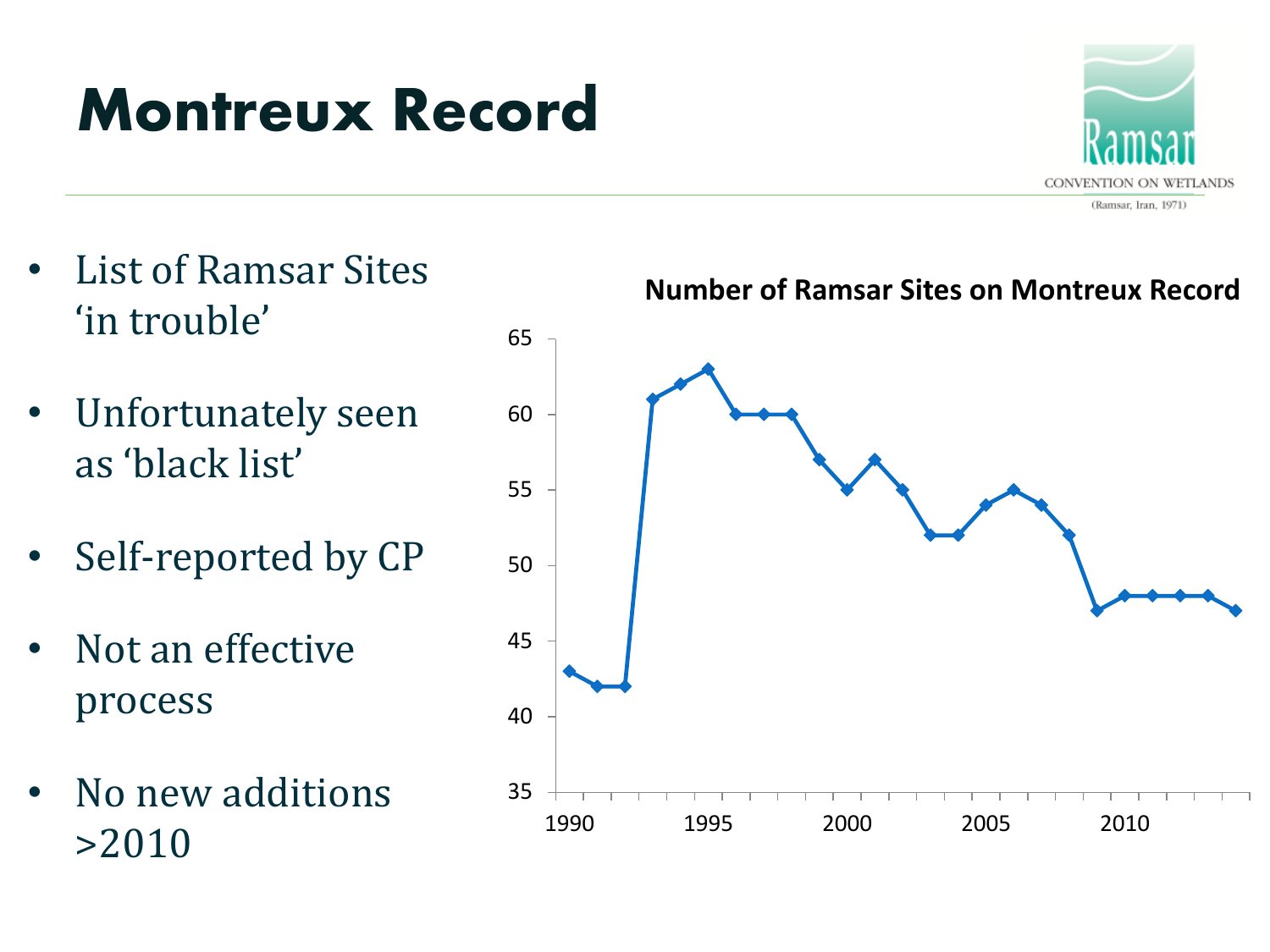## **Montreux Record**



- List of Ramsar Sites 'in trouble'
- Unfortunately seen as 'black list'
- Self-reported by CP
- Not an effective process
- No new additions >2010

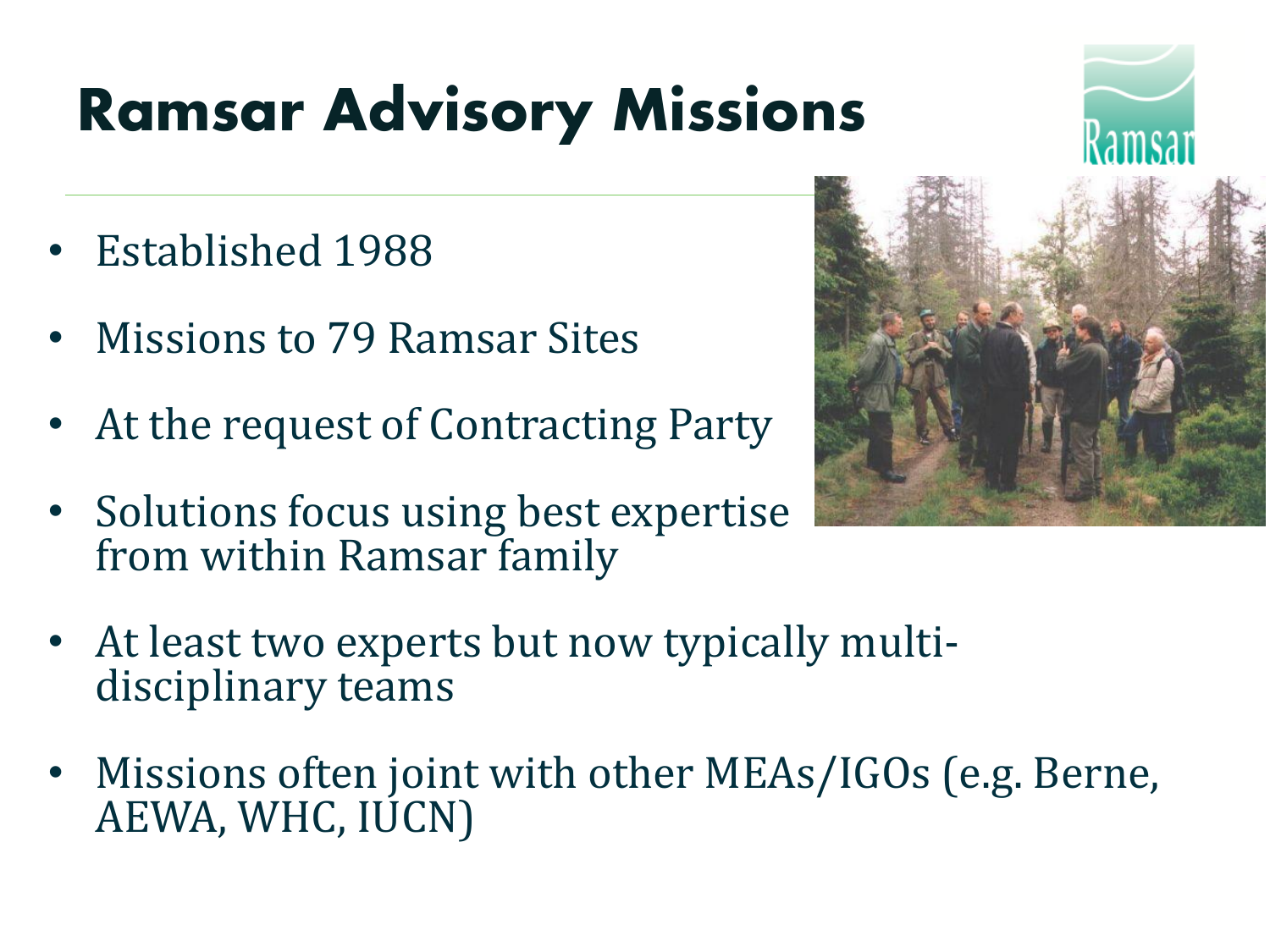

- Established 1988
- Missions to 79 Ramsar Sites
- At the request of Contracting Party
- Solutions focus using best expertise from within Ramsar family



- At least two experts but now typically multidisciplinary teams
- Missions often joint with other MEAs/IGOs (e.g. Berne, AEWA, WHC, IUCN)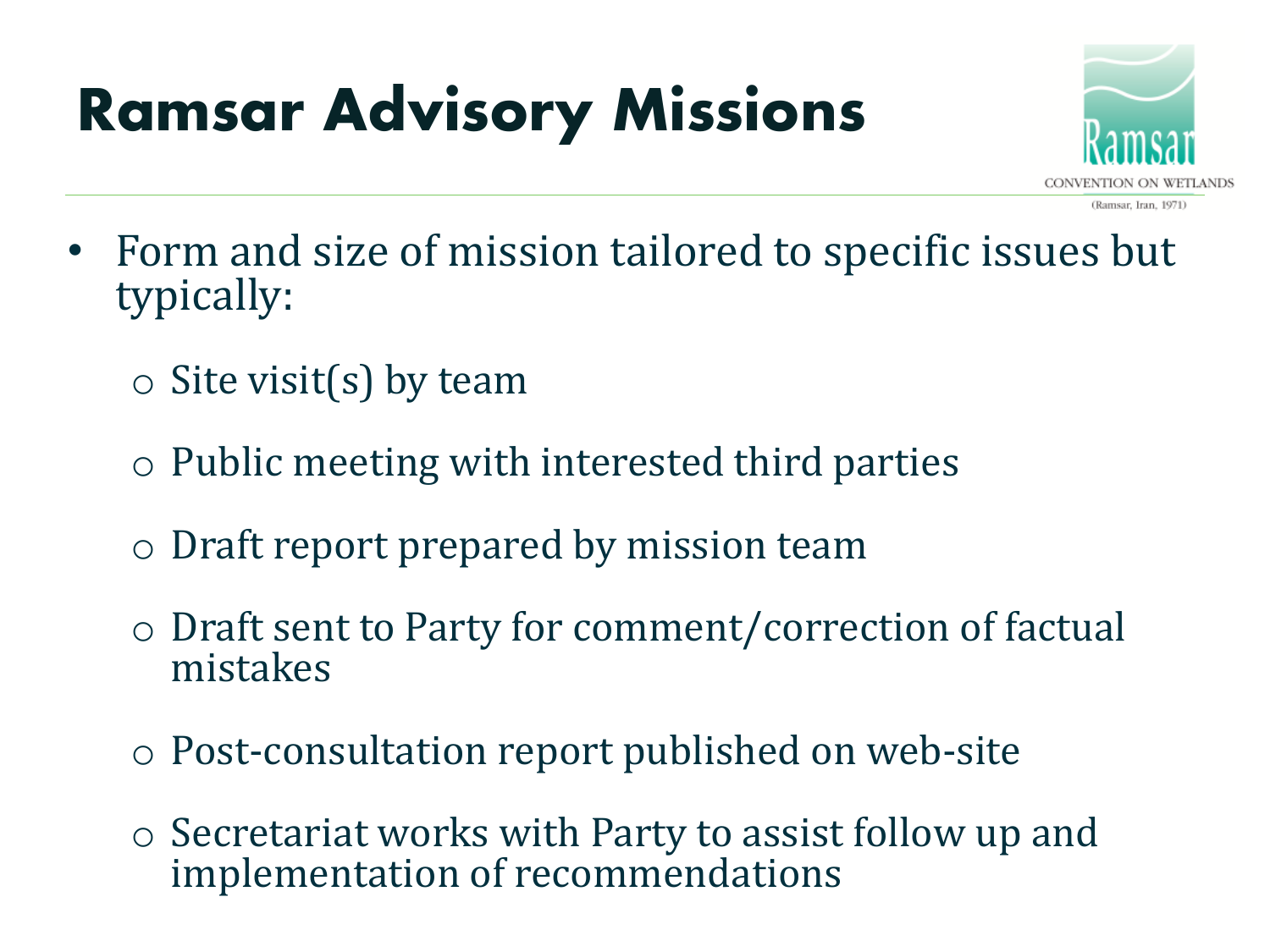

- Form and size of mission tailored to specific issues but typically:
	- $\circ$  Site visit(s) by team
	- o Public meeting with interested third parties
	- o Draft report prepared by mission team
	- o Draft sent to Party for comment/correction of factual mistakes
	- o Post-consultation report published on web-site
	- o Secretariat works with Party to assist follow up and implementation of recommendations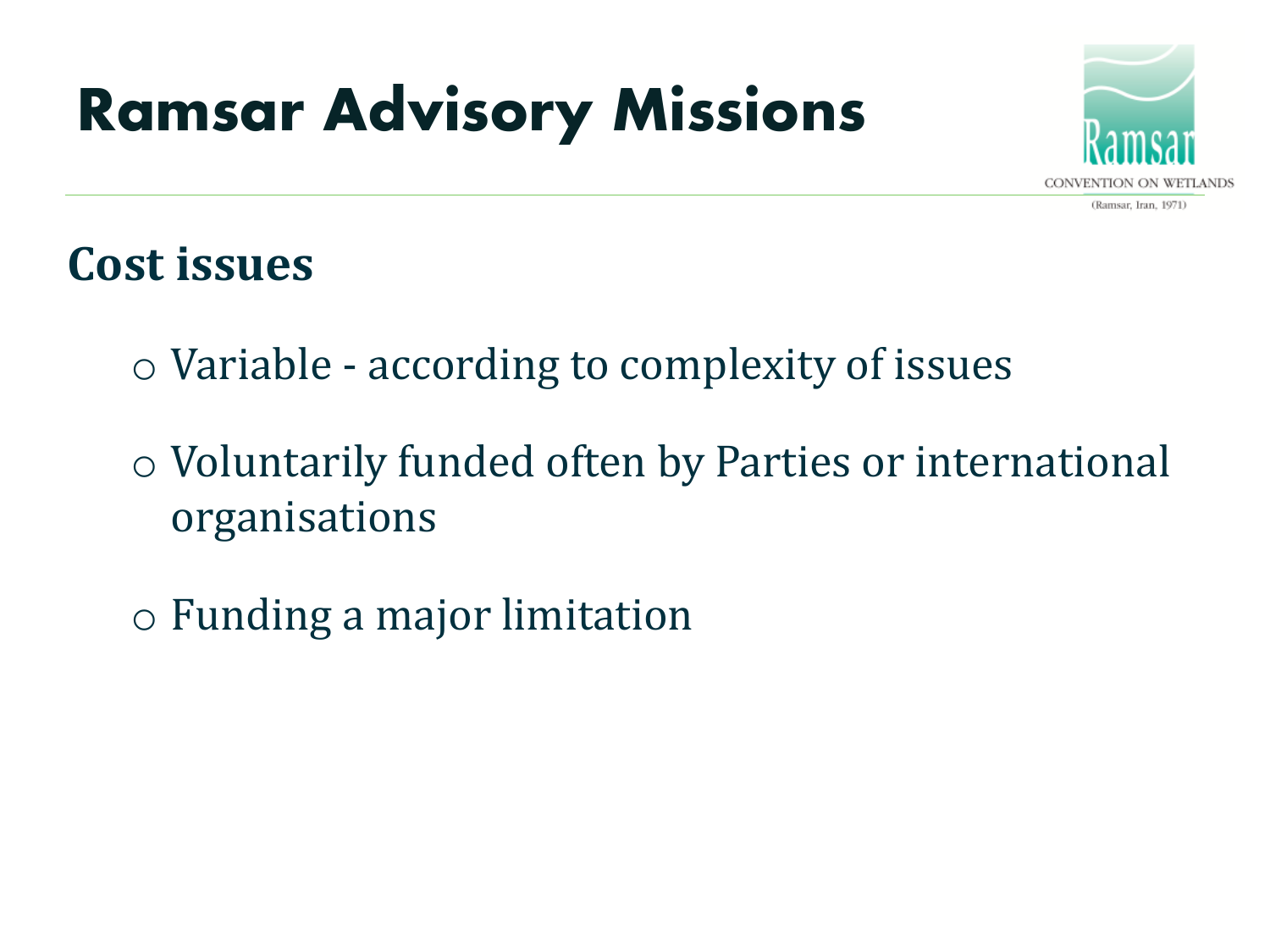

#### **Cost issues**

- o Variable according to complexity of issues
- o Voluntarily funded often by Parties or international organisations
- o Funding a major limitation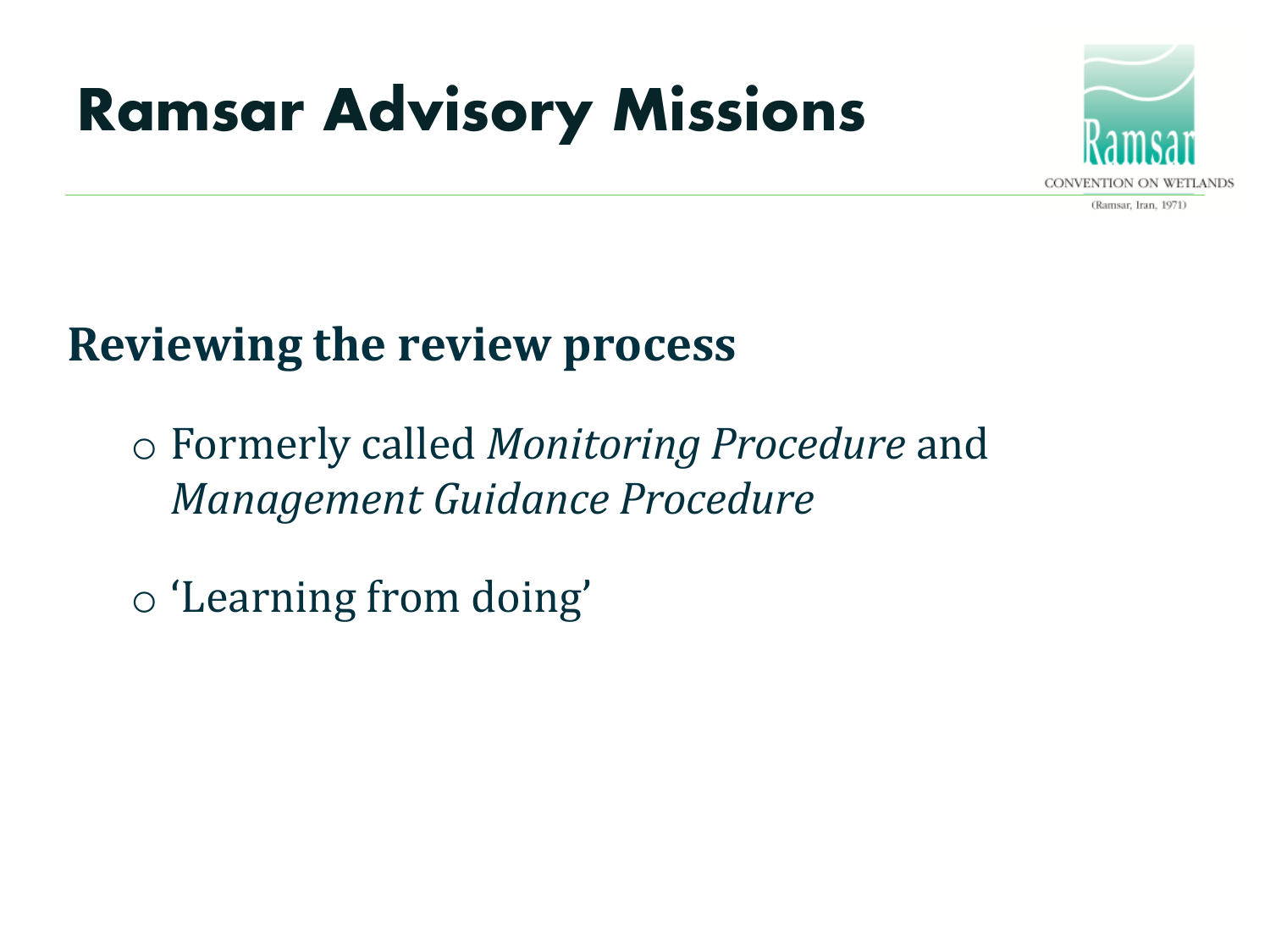

(Ramsar, Iran, 1971)

#### **Reviewing the review process**

o Formerly called *Monitoring Procedure* and *Management Guidance Procedure*

o 'Learning from doing'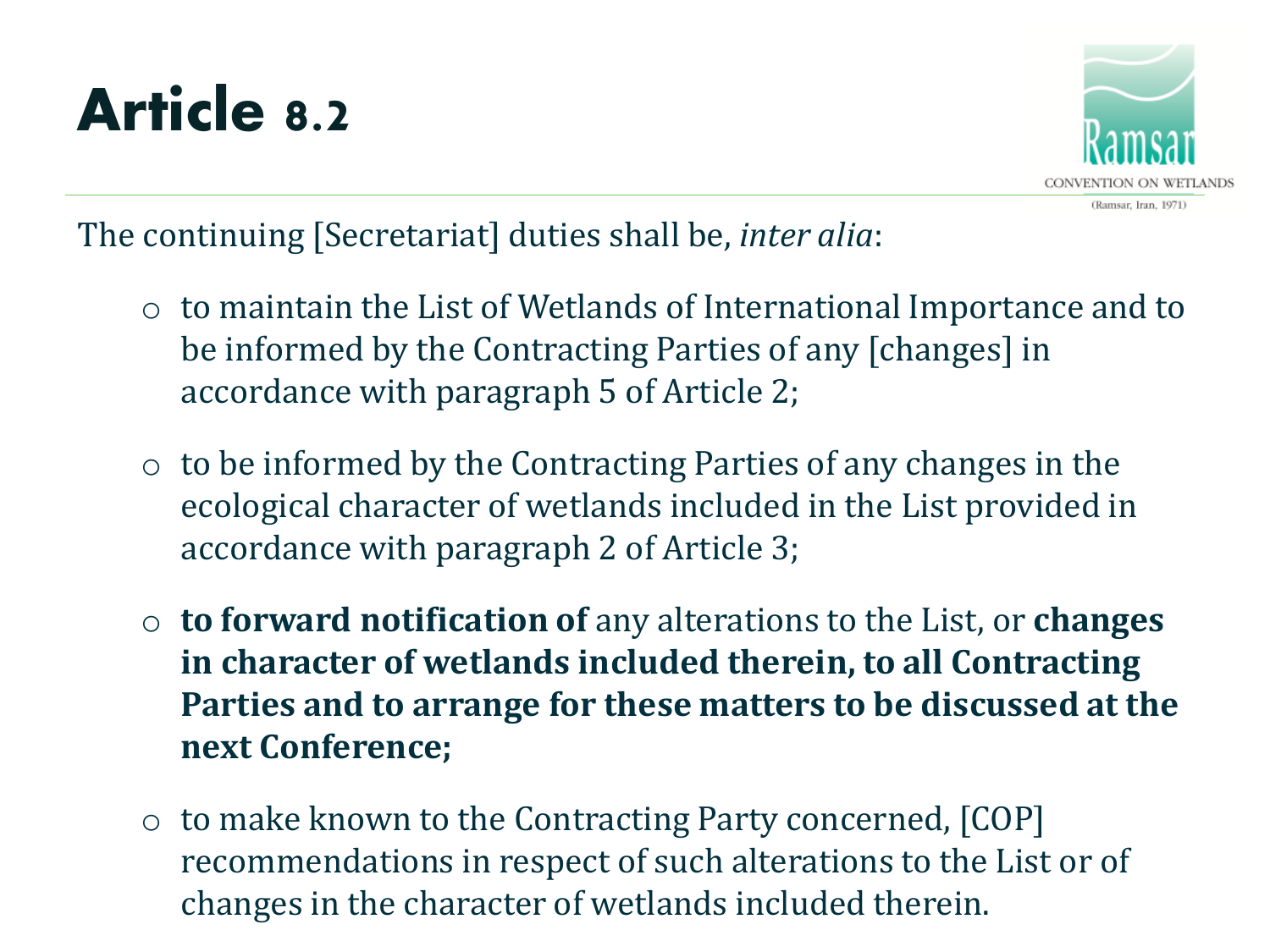## **Article 8.2**



The continuing [Secretariat] duties shall be, *inter alia*:

- o to maintain the List of Wetlands of International Importance and to be informed by the Contracting Parties of any [changes] in accordance with paragraph 5 of Article 2;
- $\circ$  to be informed by the Contracting Parties of any changes in the ecological character of wetlands included in the List provided in accordance with paragraph 2 of Article 3;
- o **to forward notification of** any alterations to the List, or **changes in character of wetlands included therein, to all Contracting Parties and to arrange for these matters to be discussed at the next Conference;**
- o to make known to the Contracting Party concerned, [COP] recommendations in respect of such alterations to the List or of changes in the character of wetlands included therein.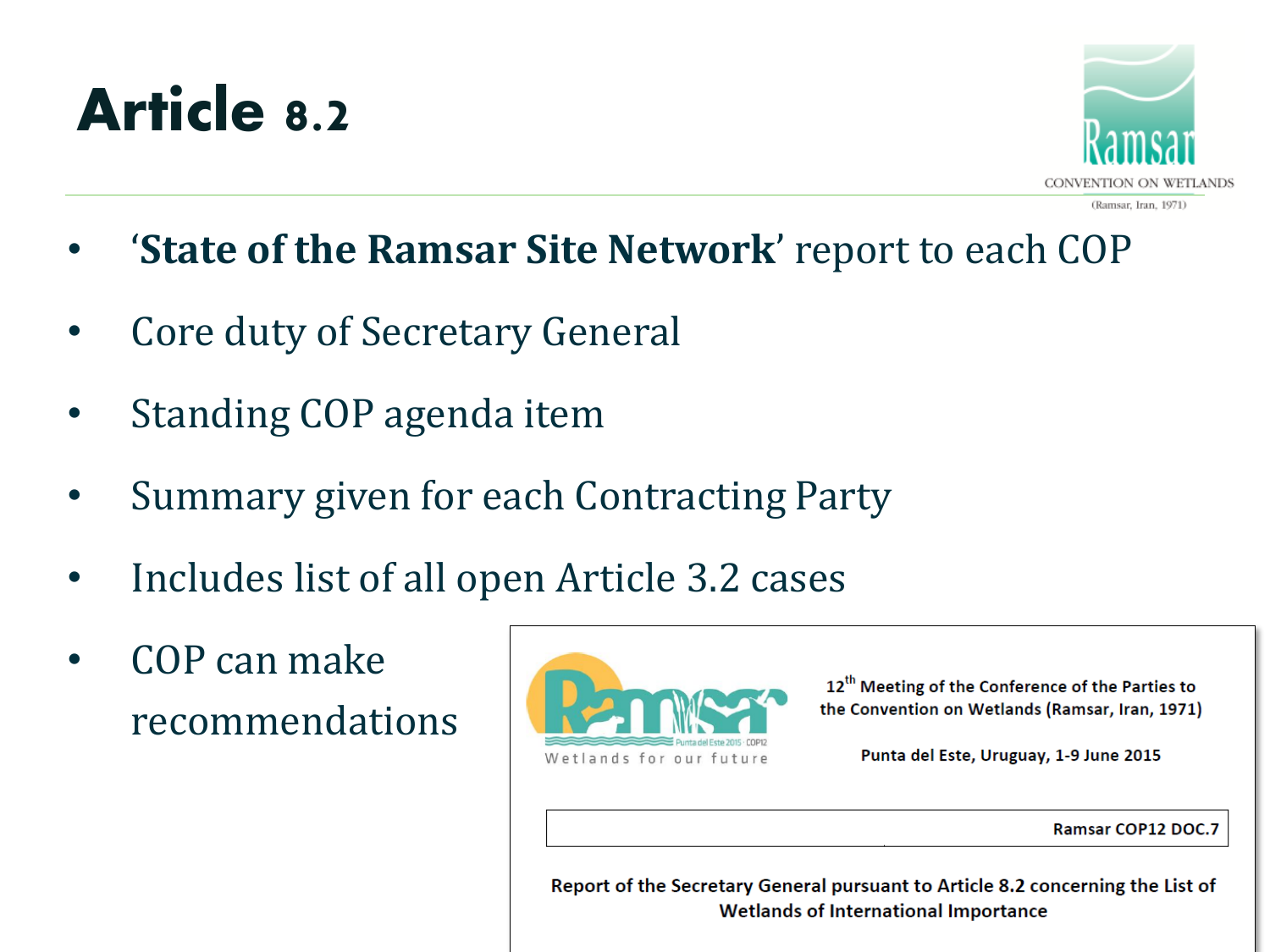### **Article 8.2**



- (Ramsar, Iran, 1971)
- '**State of the Ramsar Site Network**' report to each COP
- Core duty of Secretary General
- Standing COP agenda item
- Summary given for each Contracting Party
- Includes list of all open Article 3.2 cases
- COP can make recommendations



12<sup>th</sup> Meeting of the Conference of the Parties to the Convention on Wetlands (Ramsar, Iran, 1971)

Punta del Este, Uruguay, 1-9 June 2015

Ramsar COP12 DOC.7

Report of the Secretary General pursuant to Article 8.2 concerning the List of **Wetlands of International Importance**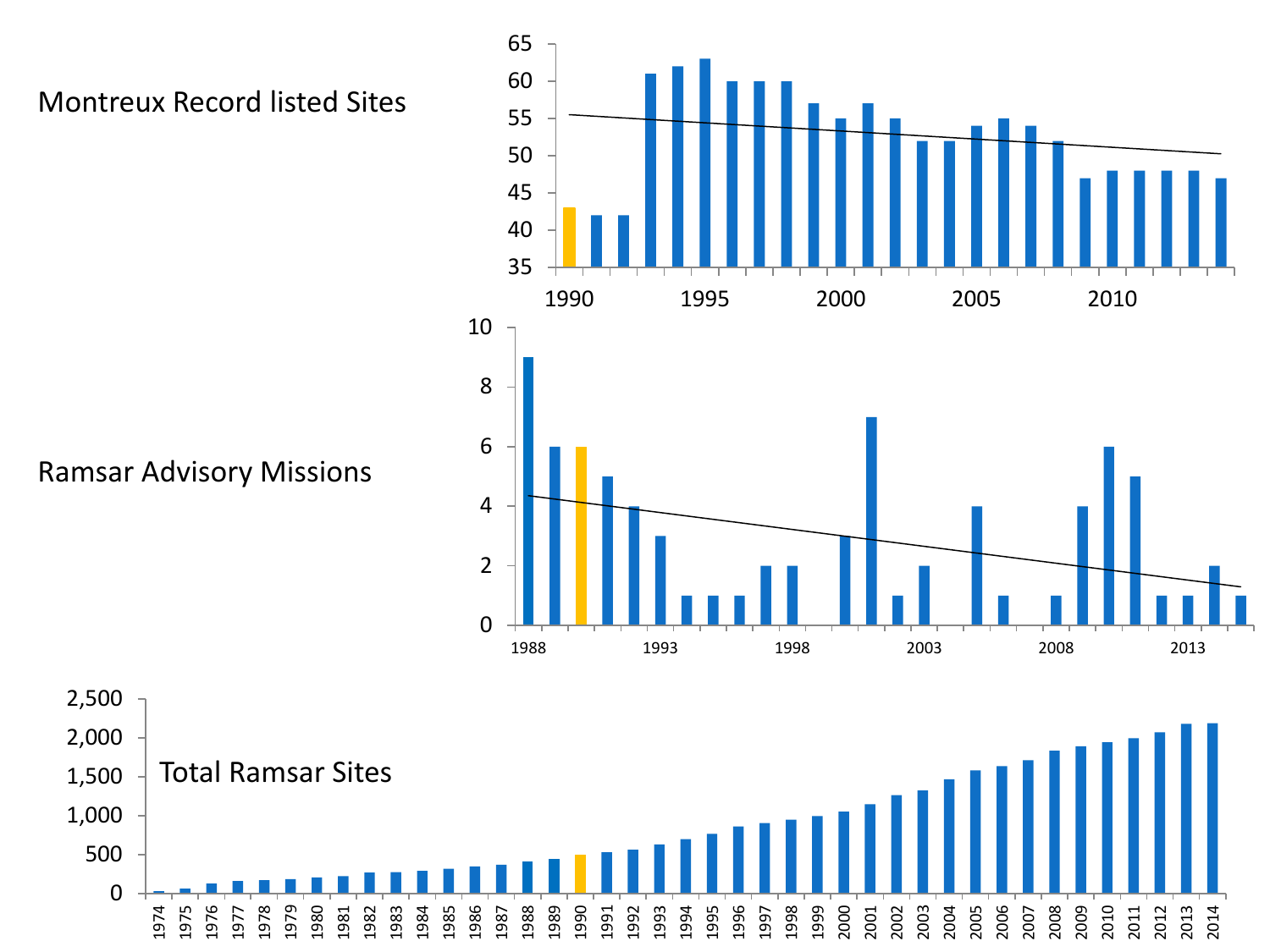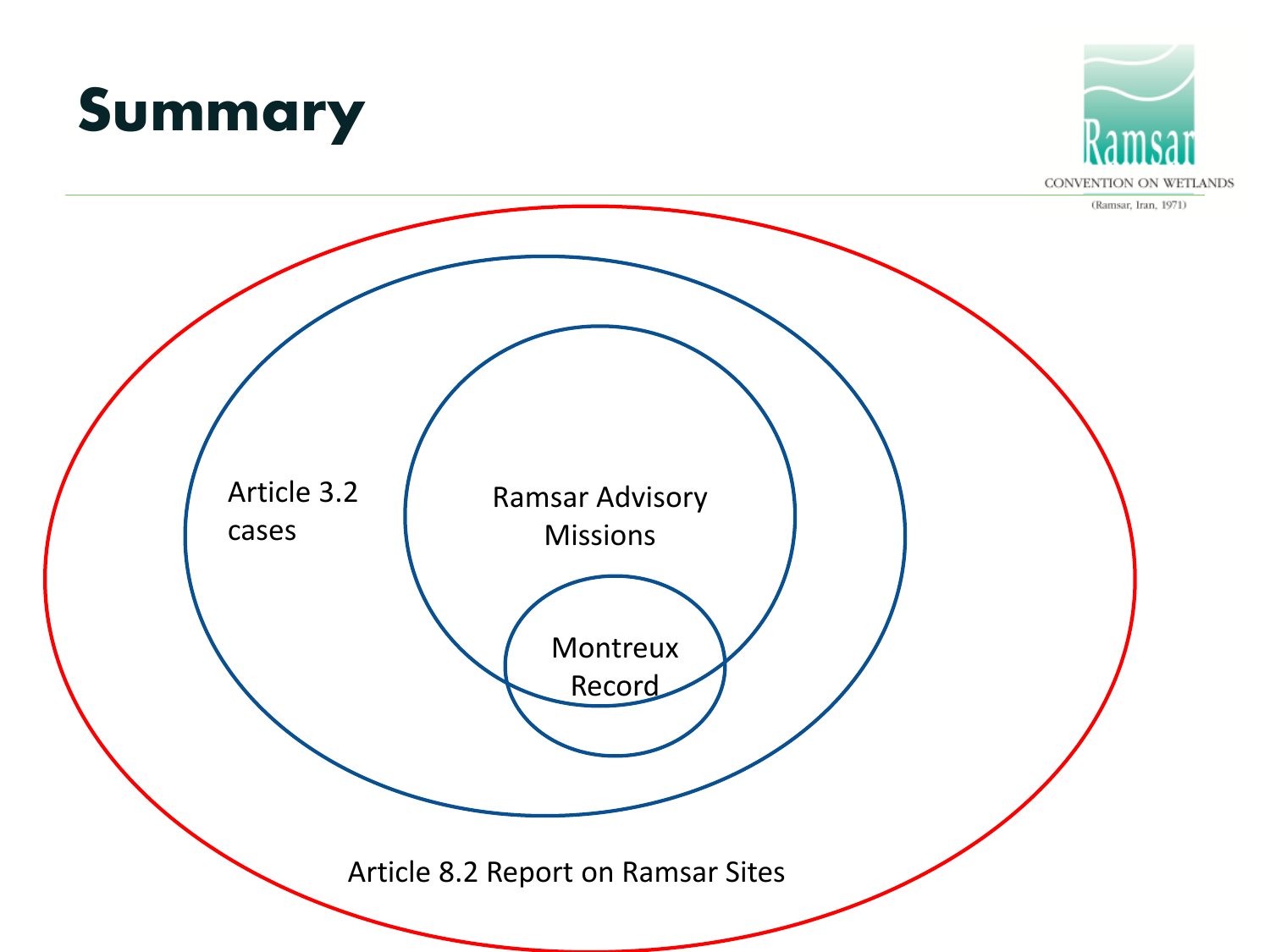



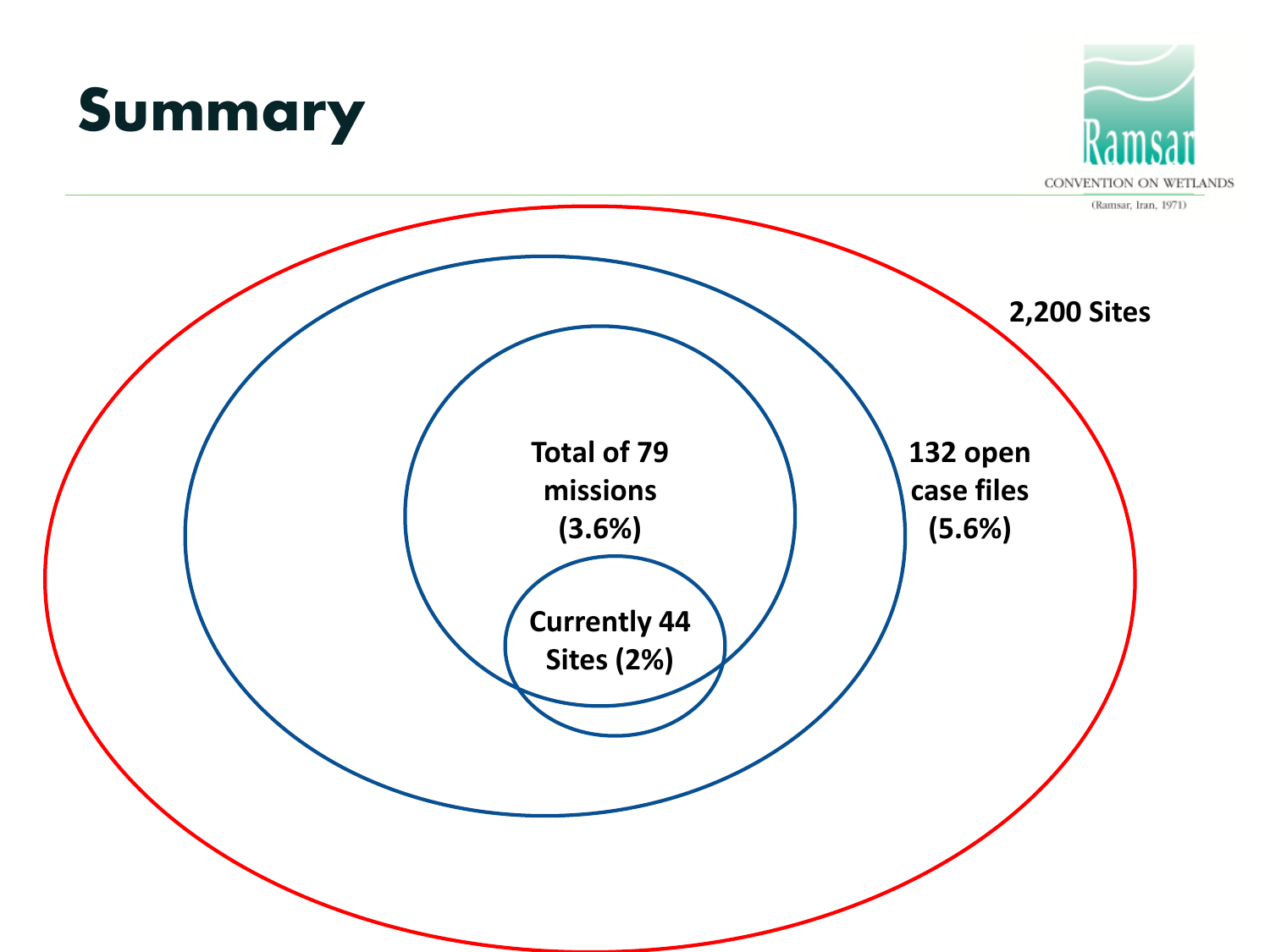



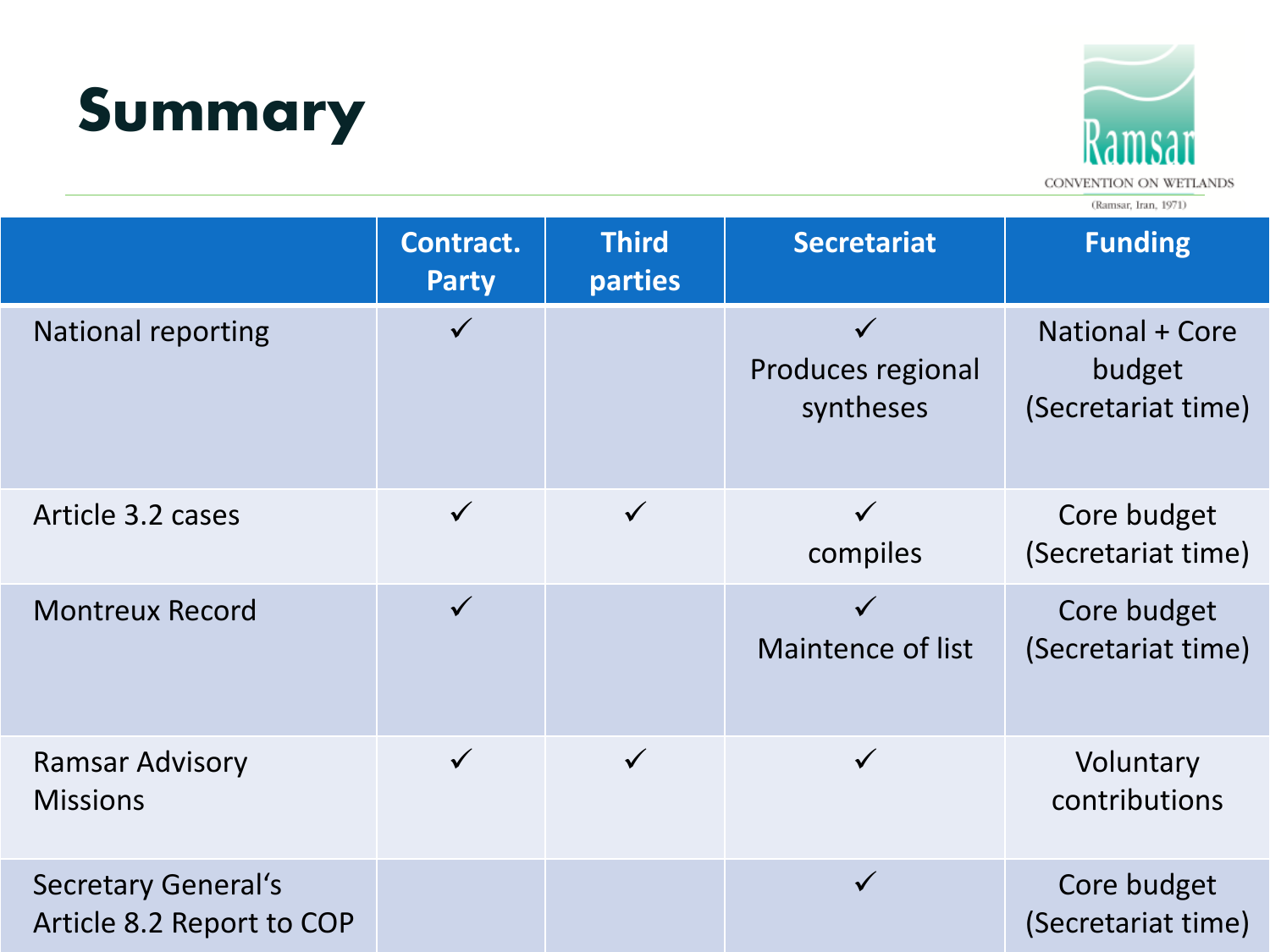



CONVENTION ON WETLANDS

|                                                         | Contract.<br><b>Party</b> | <b>Third</b><br>parties | <b>Secretariat</b>             | <b>Funding</b>                                  |
|---------------------------------------------------------|---------------------------|-------------------------|--------------------------------|-------------------------------------------------|
| National reporting                                      | $\checkmark$              |                         | Produces regional<br>syntheses | National + Core<br>budget<br>(Secretariat time) |
| Article 3.2 cases                                       | $\checkmark$              | $\checkmark$            | compiles                       | Core budget<br>(Secretariat time)               |
| <b>Montreux Record</b>                                  | $\checkmark$              |                         | Maintence of list              | Core budget<br>(Secretariat time)               |
| <b>Ramsar Advisory</b><br><b>Missions</b>               | $\checkmark$              |                         |                                | Voluntary<br>contributions                      |
| <b>Secretary General's</b><br>Article 8.2 Report to COP |                           |                         | $\checkmark$                   | Core budget<br>(Secretariat time)               |